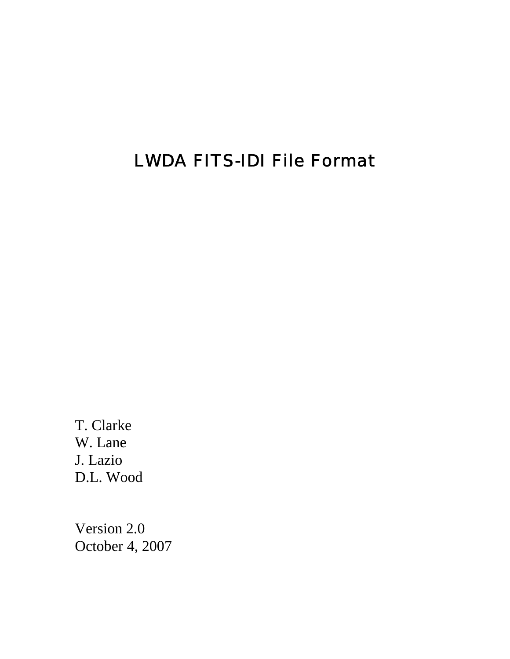# LWDA FITS-IDI File Format

T. Clarke W. Lane J. Lazio D.L. Wood

Version 2.0 October 4, 2007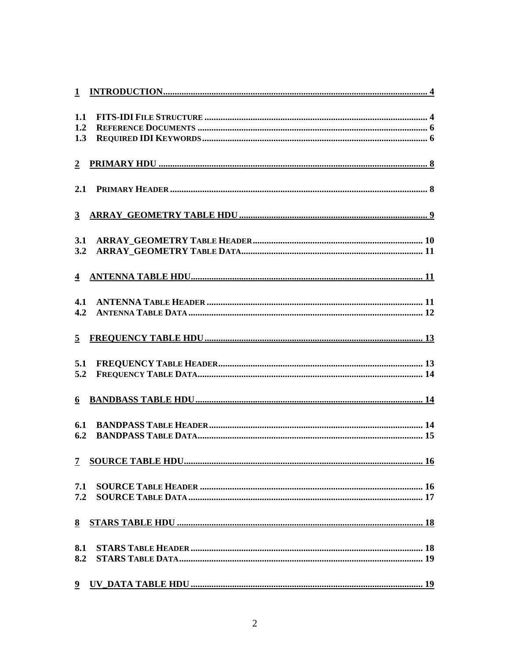| 1.1<br>1.2<br>1.3 |  |
|-------------------|--|
| 2                 |  |
| 2.1               |  |
| $\mathbf{3}$      |  |
| 3.1<br>3.2        |  |
| $\overline{4}$    |  |
| 4.1<br>4.2        |  |
| $\overline{5}$    |  |
| 5.1<br>5.2        |  |
| 6                 |  |
| 6.1<br>6.2        |  |
|                   |  |
| 7.1<br>7.2        |  |
| 8                 |  |
| 8.1<br>8.2        |  |
|                   |  |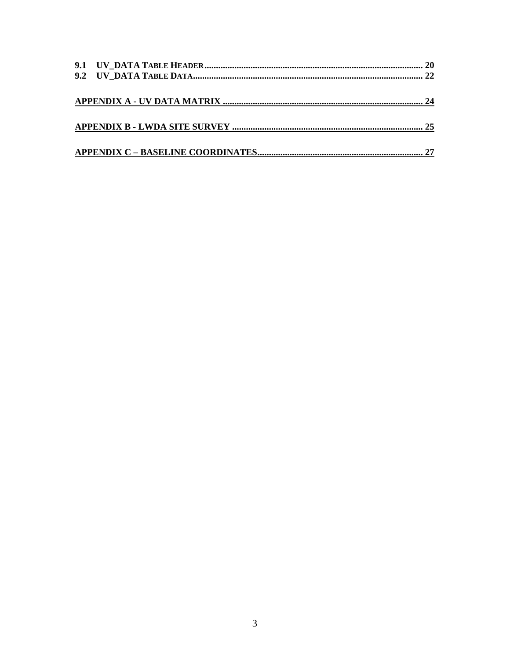|  | 22. |
|--|-----|
|  |     |
|  |     |
|  |     |
|  |     |
|  |     |
|  |     |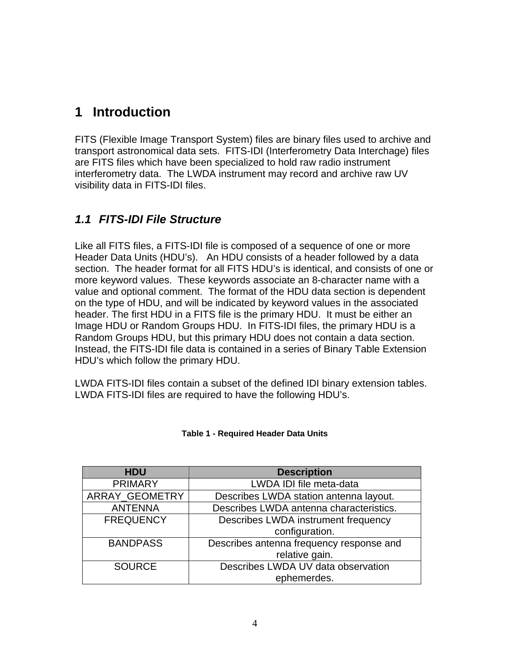## <span id="page-3-0"></span>**1 Introduction**

FITS (Flexible Image Transport System) files are binary files used to archive and transport astronomical data sets. FITS-IDI (Interferometry Data Interchage) files are FITS files which have been specialized to hold raw radio instrument interferometry data. The LWDA instrument may record and archive raw UV visibility data in FITS-IDI files.

### *1.1 FITS-IDI File Structure*

Like all FITS files, a FITS-IDI file is composed of a sequence of one or more Header Data Units (HDU's). An HDU consists of a header followed by a data section. The header format for all FITS HDU's is identical, and consists of one or more keyword values. These keywords associate an 8-character name with a value and optional comment. The format of the HDU data section is dependent on the type of HDU, and will be indicated by keyword values in the associated header. The first HDU in a FITS file is the primary HDU. It must be either an Image HDU or Random Groups HDU. In FITS-IDI files, the primary HDU is a Random Groups HDU, but this primary HDU does not contain a data section. Instead, the FITS-IDI file data is contained in a series of Binary Table Extension HDU's which follow the primary HDU.

LWDA FITS-IDI files contain a subset of the defined IDI binary extension tables. LWDA FITS-IDI files are required to have the following HDU's.

| <b>HDU</b>            | <b>Description</b>                       |
|-----------------------|------------------------------------------|
| <b>PRIMARY</b>        | LWDA IDI file meta-data                  |
| <b>ARRAY GEOMETRY</b> | Describes LWDA station antenna layout.   |
| <b>ANTENNA</b>        | Describes LWDA antenna characteristics.  |
| <b>FREQUENCY</b>      | Describes LWDA instrument frequency      |
|                       | configuration.                           |
| <b>BANDPASS</b>       | Describes antenna frequency response and |
|                       | relative gain.                           |
| <b>SOURCE</b>         | Describes LWDA UV data observation       |
|                       | ephemerdes.                              |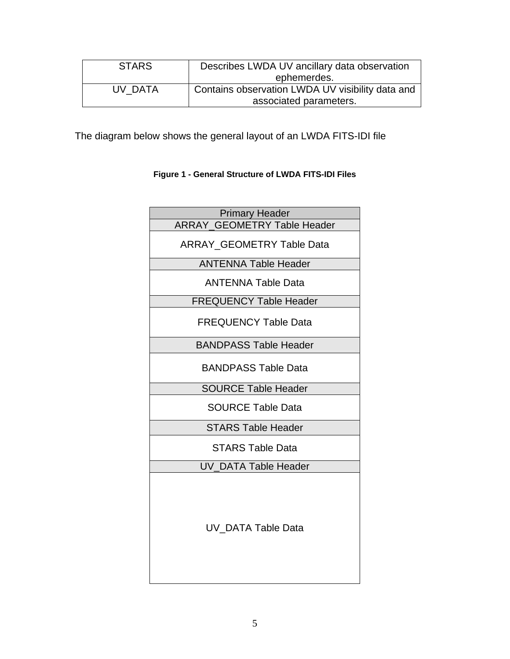| <b>STARS</b> | Describes LWDA UV ancillary data observation     |  |  |
|--------------|--------------------------------------------------|--|--|
|              | ephemerdes.                                      |  |  |
| UV DATA      | Contains observation LWDA UV visibility data and |  |  |
|              | associated parameters.                           |  |  |

The diagram below shows the general layout of an LWDA FITS-IDI file

#### **Figure 1 - General Structure of LWDA FITS-IDI Files**

| <b>Primary Header</b>              |
|------------------------------------|
| <b>ARRAY GEOMETRY Table Header</b> |
| <b>ARRAY GEOMETRY Table Data</b>   |
| <b>ANTENNA Table Header</b>        |
| <b>ANTENNA Table Data</b>          |
| <b>FREQUENCY Table Header</b>      |
| <b>FREQUENCY Table Data</b>        |
| <b>BANDPASS Table Header</b>       |
| <b>BANDPASS Table Data</b>         |
| <b>SOURCE Table Header</b>         |
| <b>SOURCE Table Data</b>           |
| <b>STARS Table Header</b>          |
| <b>STARS Table Data</b>            |
| <b>UV DATA Table Header</b>        |
| <b>UV DATA Table Data</b>          |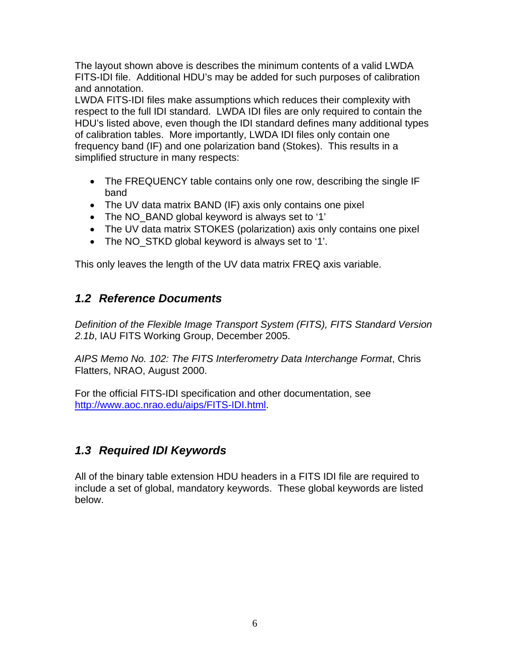<span id="page-5-0"></span>The layout shown above is describes the minimum contents of a valid LWDA FITS-IDI file. Additional HDU's may be added for such purposes of calibration and annotation.

LWDA FITS-IDI files make assumptions which reduces their complexity with respect to the full IDI standard. LWDA IDI files are only required to contain the HDU's listed above, even though the IDI standard defines many additional types of calibration tables. More importantly, LWDA IDI files only contain one frequency band (IF) and one polarization band (Stokes). This results in a simplified structure in many respects:

- The FREQUENCY table contains only one row, describing the single IF band
- The UV data matrix BAND (IF) axis only contains one pixel
- The NO\_BAND global keyword is always set to '1'
- The UV data matrix STOKES (polarization) axis only contains one pixel
- The NO STKD global keyword is always set to '1'.

This only leaves the length of the UV data matrix FREQ axis variable.

### *1.2 Reference Documents*

*Definition of the Flexible Image Transport System (FITS), FITS Standard Version 2.1b*, IAU FITS Working Group, December 2005.

*AIPS Memo No. 102: The FITS Interferometry Data Interchange Format*, Chris Flatters, NRAO, August 2000.

For the official FITS-IDI specification and other documentation, see <http://www.aoc.nrao.edu/aips/FITS-IDI.html>.

### *1.3 Required IDI Keywords*

All of the binary table extension HDU headers in a FITS IDI file are required to include a set of global, mandatory keywords. These global keywords are listed below.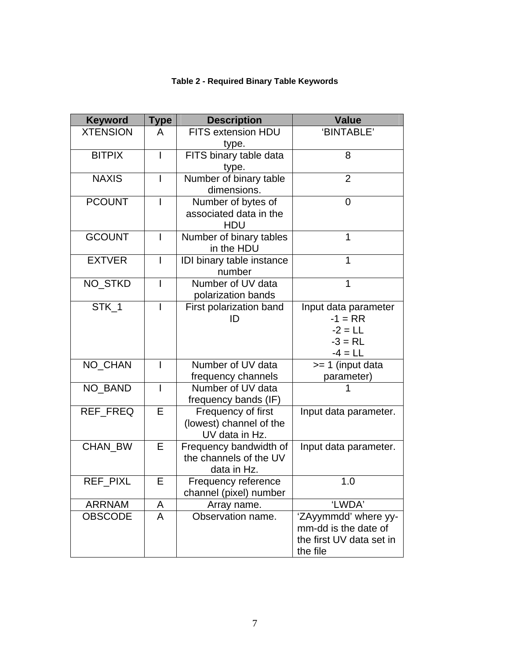#### **Table 2 - Required Binary Table Keywords**

| <b>Keyword</b>  | <b>Type</b>              | <b>Description</b>                                              | <b>Value</b>                                                                         |  |
|-----------------|--------------------------|-----------------------------------------------------------------|--------------------------------------------------------------------------------------|--|
| <b>XTENSION</b> | A                        | <b>FITS extension HDU</b><br>type.                              | 'BINTABLE'                                                                           |  |
| <b>BITPIX</b>   | $\overline{1}$           | FITS binary table data<br>type.                                 | 8                                                                                    |  |
| <b>NAXIS</b>    | $\mathsf{l}$             | Number of binary table<br>dimensions.                           | $\overline{2}$                                                                       |  |
| <b>PCOUNT</b>   | $\overline{\phantom{a}}$ | Number of bytes of<br>associated data in the<br><b>HDU</b>      | $\mathbf 0$                                                                          |  |
| <b>GCOUNT</b>   | $\mathsf{l}$             | Number of binary tables<br>in the HDU                           | 1                                                                                    |  |
| <b>EXTVER</b>   | $\overline{1}$           | IDI binary table instance<br>number                             | $\overline{1}$                                                                       |  |
| NO_STKD         | $\mathsf{l}$             | Number of UV data<br>polarization bands                         | $\mathbf 1$                                                                          |  |
| $STK_1$         | $\overline{1}$           | First polarization band<br>ID                                   | Input data parameter<br>$-1 = RR$<br>$-2 = LL$<br>$-3 = R L$<br>$-4 = LL$            |  |
| NO_CHAN         | $\overline{\phantom{a}}$ | Number of UV data<br>frequency channels                         | >= 1 (input data<br>parameter)                                                       |  |
| NO_BAND         | $\overline{\phantom{a}}$ | Number of UV data<br>frequency bands (IF)                       |                                                                                      |  |
| REF_FREQ        | Е                        | Frequency of first<br>(lowest) channel of the<br>UV data in Hz. | Input data parameter.                                                                |  |
| CHAN_BW         | Е                        | Frequency bandwidth of<br>the channels of the UV<br>data in Hz. | Input data parameter.                                                                |  |
| REF_PIXL        | Е                        | Frequency reference<br>channel (pixel) number                   | 1.0                                                                                  |  |
| <b>ARRNAM</b>   | A                        | Array name.                                                     | 'LWDA'                                                                               |  |
| <b>OBSCODE</b>  | A                        | Observation name.                                               | 'ZAyymmdd' where yy-<br>mm-dd is the date of<br>the first UV data set in<br>the file |  |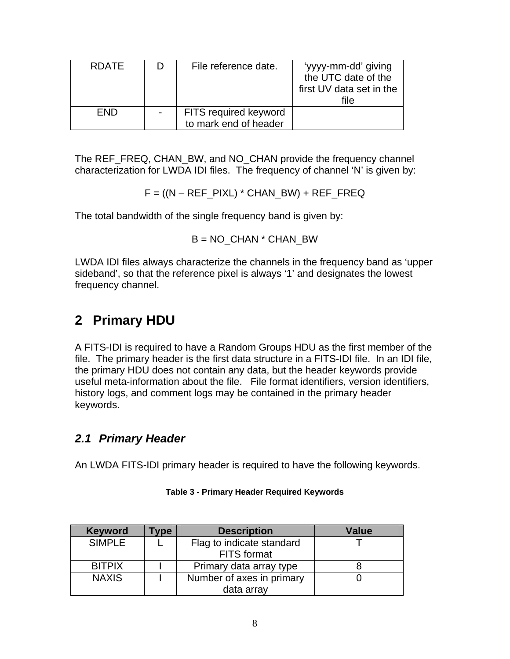<span id="page-7-0"></span>

| <b>RDATE</b> |                | File reference date.                           | 'yyyy-mm-dd' giving<br>the UTC date of the<br>first UV data set in the<br>file |
|--------------|----------------|------------------------------------------------|--------------------------------------------------------------------------------|
| <b>FND</b>   | $\blacksquare$ | FITS required keyword<br>to mark end of header |                                                                                |

The REF\_FREQ, CHAN\_BW, and NO\_CHAN provide the frequency channel characterization for LWDA IDI files. The frequency of channel 'N' is given by:

 $F = ((N - REF$  PIXL) \* CHAN BW) + REF FREQ

The total bandwidth of the single frequency band is given by:

 $B = NO$  CHAN  $*$  CHAN BW

LWDA IDI files always characterize the channels in the frequency band as 'upper sideband', so that the reference pixel is always '1' and designates the lowest frequency channel.

## **2 Primary HDU**

A FITS-IDI is required to have a Random Groups HDU as the first member of the file. The primary header is the first data structure in a FITS-IDI file. In an IDI file, the primary HDU does not contain any data, but the header keywords provide useful meta-information about the file. File format identifiers, version identifiers, history logs, and comment logs may be contained in the primary header keywords.

### *2.1 Primary Header*

An LWDA FITS-IDI primary header is required to have the following keywords.

| <b>Keyword</b> | vpe | <b>Description</b>        | Value |
|----------------|-----|---------------------------|-------|
| <b>SIMPLE</b>  |     | Flag to indicate standard |       |
|                |     | <b>FITS</b> format        |       |
| <b>BITPIX</b>  |     | Primary data array type   |       |
| <b>NAXIS</b>   |     | Number of axes in primary |       |
|                |     | data array                |       |

#### **Table 3 - Primary Header Required Keywords**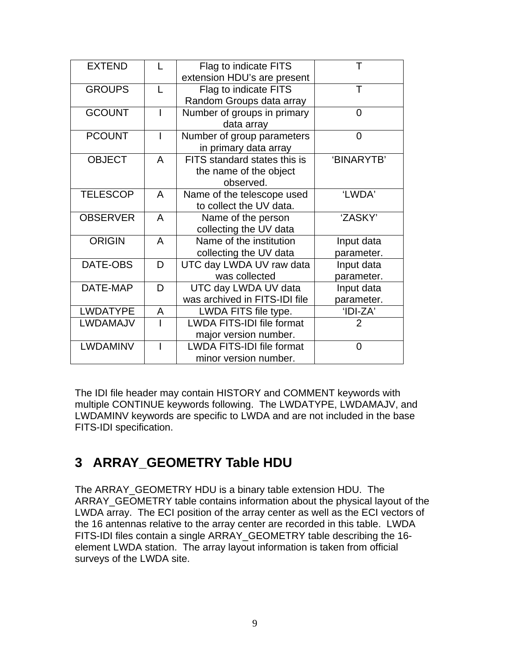<span id="page-8-0"></span>

| <b>EXTEND</b>      | L              | Flag to indicate FITS            | Τ              |
|--------------------|----------------|----------------------------------|----------------|
|                    |                | extension HDU's are present      |                |
| <b>GROUPS</b><br>L |                | Flag to indicate FITS            | т              |
|                    |                | Random Groups data array         |                |
| <b>GCOUNT</b>      |                | Number of groups in primary      | $\Omega$       |
|                    |                | data array                       |                |
| <b>PCOUNT</b>      | $\overline{1}$ | Number of group parameters       | $\overline{0}$ |
|                    |                | in primary data array            |                |
| <b>OBJECT</b>      | A              | FITS standard states this is     | 'BINARYTB'     |
|                    |                | the name of the object           |                |
|                    |                | observed.                        |                |
| <b>TELESCOP</b>    | A              | Name of the telescope used       | 'LWDA'         |
|                    |                | to collect the UV data.          |                |
| <b>OBSERVER</b>    | A              | Name of the person               | 'ZASKY'        |
|                    |                | collecting the UV data           |                |
| <b>ORIGIN</b>      | A              | Name of the institution          | Input data     |
|                    |                | collecting the UV data           | parameter.     |
| DATE-OBS           | D              | UTC day LWDA UV raw data         | Input data     |
|                    |                | was collected                    | parameter.     |
| DATE-MAP           | D              | UTC day LWDA UV data             | Input data     |
|                    |                | was archived in FITS-IDI file    | parameter.     |
| <b>LWDATYPE</b>    | A              | LWDA FITS file type.             | 'IDI-ZA'       |
| LWDAMAJV           |                | <b>LWDA FITS-IDI file format</b> | 2              |
|                    |                | major version number.            |                |
| <b>LWDAMINV</b>    |                | <b>LWDA FITS-IDI file format</b> | $\overline{0}$ |
|                    |                | minor version number.            |                |

The IDI file header may contain HISTORY and COMMENT keywords with multiple CONTINUE keywords following. The LWDATYPE, LWDAMAJV, and LWDAMINV keywords are specific to LWDA and are not included in the base FITS-IDI specification.

## **3 ARRAY\_GEOMETRY Table HDU**

The ARRAY\_GEOMETRY HDU is a binary table extension HDU. The ARRAY\_GEOMETRY table contains information about the physical layout of the LWDA array. The ECI position of the array center as well as the ECI vectors of the 16 antennas relative to the array center are recorded in this table. LWDA FITS-IDI files contain a single ARRAY\_GEOMETRY table describing the 16 element LWDA station. The array layout information is taken from official surveys of the LWDA site.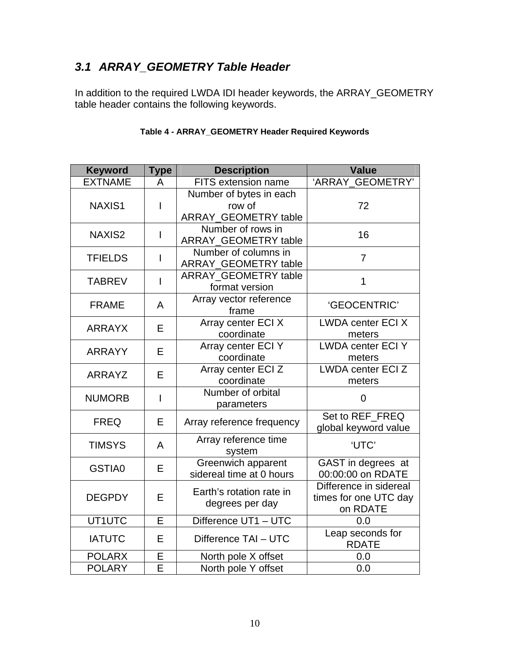## <span id="page-9-0"></span>*3.1 ARRAY\_GEOMETRY Table Header*

In addition to the required LWDA IDI header keywords, the ARRAY\_GEOMETRY table header contains the following keywords.

| <b>Keyword</b>                            | <b>Type</b>                               | <b>Description</b>        | <b>Value</b>             |  |
|-------------------------------------------|-------------------------------------------|---------------------------|--------------------------|--|
| <b>EXTNAME</b>                            | A                                         | FITS extension name       | 'ARRAY_GEOMETRY'         |  |
|                                           |                                           | Number of bytes in each   |                          |  |
| NAXIS1                                    | $\overline{1}$                            | row of                    | 72                       |  |
|                                           |                                           | ARRAY_GEOMETRY table      |                          |  |
| NAXIS <sub>2</sub>                        | I                                         | Number of rows in         | 16                       |  |
|                                           |                                           | ARRAY_GEOMETRY table      |                          |  |
| <b>TFIELDS</b>                            | I                                         | Number of columns in      | $\overline{7}$           |  |
|                                           |                                           | ARRAY_GEOMETRY table      |                          |  |
| <b>TABREV</b>                             |                                           | ARRAY_GEOMETRY table      | 1                        |  |
|                                           |                                           | format version            |                          |  |
| <b>FRAME</b>                              | A                                         | Array vector reference    | 'GEOCENTRIC'             |  |
|                                           |                                           | frame                     |                          |  |
| <b>ARRAYX</b>                             | E                                         | Array center ECI X        | <b>LWDA center ECI X</b> |  |
|                                           |                                           | coordinate                | meters                   |  |
| <b>ARRAYY</b>                             | E                                         | Array center ECI Y        | <b>LWDA center ECI Y</b> |  |
|                                           |                                           | coordinate                | meters                   |  |
| <b>ARRAYZ</b>                             | E                                         | Array center ECI Z        | <b>LWDA center ECI Z</b> |  |
|                                           |                                           | coordinate                | meters                   |  |
| <b>NUMORB</b>                             | $\mathsf{I}$                              | Number of orbital         | $\overline{0}$           |  |
|                                           |                                           | parameters                |                          |  |
| <b>FREQ</b>                               | E                                         | Array reference frequency | Set to REF_FREQ          |  |
|                                           |                                           |                           | global keyword value     |  |
| <b>TIMSYS</b>                             | A                                         | Array reference time      | 'UTC'                    |  |
|                                           |                                           | system                    |                          |  |
| <b>GSTIA0</b>                             | E                                         | Greenwich apparent        | GAST in degrees at       |  |
|                                           |                                           | sidereal time at 0 hours  | 00:00:00 on RDATE        |  |
|                                           | E                                         | Earth's rotation rate in  | Difference in sidereal   |  |
| <b>DEGPDY</b>                             |                                           | degrees per day           | times for one UTC day    |  |
|                                           |                                           |                           | on RDATE                 |  |
| UT1UTC<br>E                               |                                           | Difference UT1 - UTC      | 0.0                      |  |
| <b>IATUTC</b>                             | E                                         | Difference TAI - UTC      | Leap seconds for         |  |
|                                           |                                           |                           | <b>RDATE</b>             |  |
|                                           | E<br><b>POLARX</b><br>North pole X offset |                           | 0.0                      |  |
| E<br><b>POLARY</b><br>North pole Y offset |                                           | 0.0                       |                          |  |

#### **Table 4 - ARRAY\_GEOMETRY Header Required Keywords**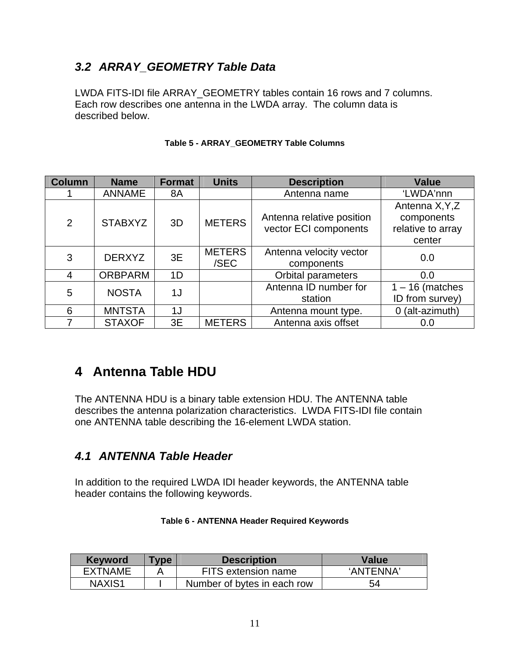### <span id="page-10-0"></span>*3.2 ARRAY\_GEOMETRY Table Data*

LWDA FITS-IDI file ARRAY\_GEOMETRY tables contain 16 rows and 7 columns. Each row describes one antenna in the LWDA array. The column data is described below.

| <b>Column</b>     | <b>Name</b>    | <b>Format</b> | <b>Units</b>  | <b>Description</b>        | <b>Value</b>      |
|-------------------|----------------|---------------|---------------|---------------------------|-------------------|
|                   | <b>ANNAME</b>  | 8A            |               | Antenna name              | 'LWDA'nnn         |
|                   |                |               |               |                           | Antenna X, Y, Z   |
| 2                 | <b>STABXYZ</b> | 3D            | <b>METERS</b> | Antenna relative position | components        |
|                   |                |               |               | vector ECI components     | relative to array |
|                   |                |               |               |                           | center            |
| 3                 | <b>DERXYZ</b>  | 3E            | <b>METERS</b> | Antenna velocity vector   | 0.0               |
|                   |                |               | /SEC          | components                |                   |
| $\overline{4}$    | <b>ORBPARM</b> | 1D            |               | <b>Orbital parameters</b> | 0.0               |
| 5<br><b>NOSTA</b> |                | 1J            |               | Antenna ID number for     | $1 - 16$ (matches |
|                   |                |               |               | station                   | ID from survey)   |
| 6                 | <b>MNTSTA</b>  | 1J            |               | Antenna mount type.       | 0 (alt-azimuth)   |
| 7                 | <b>STAXOF</b>  | 3E            | <b>METERS</b> | Antenna axis offset       | 0.0               |

#### **Table 5 - ARRAY\_GEOMETRY Table Columns**

## **4 Antenna Table HDU**

The ANTENNA HDU is a binary table extension HDU. The ANTENNA table describes the antenna polarization characteristics. LWDA FITS-IDI file contain one ANTENNA table describing the 16-element LWDA station.

### *4.1 ANTENNA Table Header*

In addition to the required LWDA IDI header keywords, the ANTENNA table header contains the following keywords.

#### **Table 6 - ANTENNA Header Required Keywords**

| <b>Keyword</b> | <b>Type</b> | <b>Description</b>          | <b>Value</b> |
|----------------|-------------|-----------------------------|--------------|
| <b>EXTNAME</b> |             | FITS extension name         | 'ANTENNA'    |
| NAXIS1         |             | Number of bytes in each row | 54           |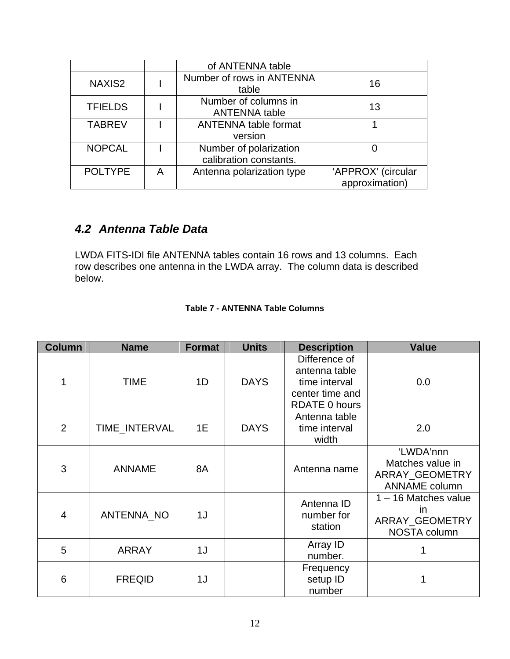<span id="page-11-0"></span>

|                |   | of ANTENNA table                                 |                                      |
|----------------|---|--------------------------------------------------|--------------------------------------|
| NAXIS2         |   | Number of rows in ANTENNA<br>table               | 16                                   |
| <b>TFIELDS</b> |   | Number of columns in<br><b>ANTENNA</b> table     | 13                                   |
| <b>TABREV</b>  |   | <b>ANTENNA table format</b>                      |                                      |
|                |   | version                                          |                                      |
| <b>NOPCAL</b>  |   | Number of polarization<br>calibration constants. |                                      |
| <b>POLTYPE</b> | A | Antenna polarization type                        | 'APPROX' (circular<br>approximation) |

### *4.2 Antenna Table Data*

LWDA FITS-IDI file ANTENNA tables contain 16 rows and 13 columns. Each row describes one antenna in the LWDA array. The column data is described below.

| <b>Column</b>  | <b>Name</b>   | <b>Format</b> | <b>Units</b> | <b>Description</b>                                                                  | <b>Value</b>                                                                 |
|----------------|---------------|---------------|--------------|-------------------------------------------------------------------------------------|------------------------------------------------------------------------------|
| 1              | <b>TIME</b>   | 1D            | <b>DAYS</b>  | Difference of<br>antenna table<br>time interval<br>center time and<br>RDATE 0 hours | 0.0                                                                          |
| $\overline{2}$ | TIME_INTERVAL | 1E            | <b>DAYS</b>  | Antenna table<br>time interval<br>width                                             | 2.0                                                                          |
| 3              | <b>ANNAME</b> | 8A            |              | Antenna name                                                                        | 'LWDA'nnn<br>Matches value in<br>ARRAY_GEOMETRY<br><b>ANNAME</b> column      |
| $\overline{4}$ | ANTENNA_NO    | 1J            |              | Antenna ID<br>number for<br>station                                                 | $1 - 16$ Matches value<br><i>in</i><br>ARRAY_GEOMETRY<br><b>NOSTA column</b> |
| 5              | <b>ARRAY</b>  | 1J            |              | Array ID<br>number.                                                                 |                                                                              |
| 6              | <b>FREQID</b> | 1J            |              | Frequency<br>setup ID<br>number                                                     |                                                                              |

#### **Table 7 - ANTENNA Table Columns**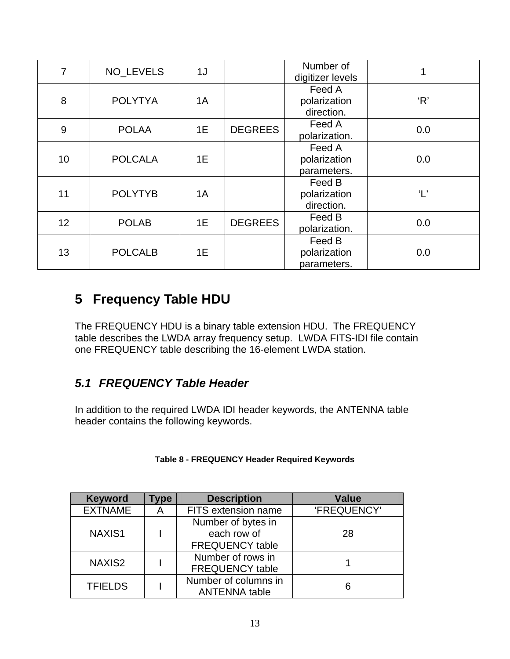<span id="page-12-0"></span>

| $\overline{7}$ | NO LEVELS      | 1J |                | Number of<br>digitizer levels         | 1             |
|----------------|----------------|----|----------------|---------------------------------------|---------------|
| 8              | <b>POLYTYA</b> | 1A |                | Feed A<br>polarization<br>direction.  | R             |
| 9              | <b>POLAA</b>   | 1E | <b>DEGREES</b> | Feed A<br>polarization.               | 0.0           |
| 10             | <b>POLCALA</b> | 1E |                | Feed A<br>polarization<br>parameters. | 0.0           |
| 11             | <b>POLYTYB</b> | 1A |                | Feed B<br>polarization<br>direction.  | $\mathsf{L}'$ |
| 12             | <b>POLAB</b>   | 1E | <b>DEGREES</b> | Feed B<br>polarization.               | 0.0           |
| 13             | <b>POLCALB</b> | 1E |                | Feed B<br>polarization<br>parameters. | 0.0           |

## **5 Frequency Table HDU**

The FREQUENCY HDU is a binary table extension HDU. The FREQUENCY table describes the LWDA array frequency setup. LWDA FITS-IDI file contain one FREQUENCY table describing the 16-element LWDA station.

### *5.1 FREQUENCY Table Header*

In addition to the required LWDA IDI header keywords, the ANTENNA table header contains the following keywords.

| <b>Keyword</b> | Type               | <b>Description</b>     | <b>Value</b> |  |
|----------------|--------------------|------------------------|--------------|--|
| <b>EXTNAME</b> | A                  | FITS extension name    | 'FREQUENCY'  |  |
|                | Number of bytes in |                        |              |  |
| NAXIS1         |                    | each row of            | 28           |  |
|                |                    | <b>FREQUENCY table</b> |              |  |
| NAXIS2         |                    | Number of rows in      |              |  |
|                |                    | <b>FREQUENCY table</b> |              |  |
| <b>TFIELDS</b> |                    | Number of columns in   | 6            |  |
|                |                    | <b>ANTENNA</b> table   |              |  |

#### **Table 8 - FREQUENCY Header Required Keywords**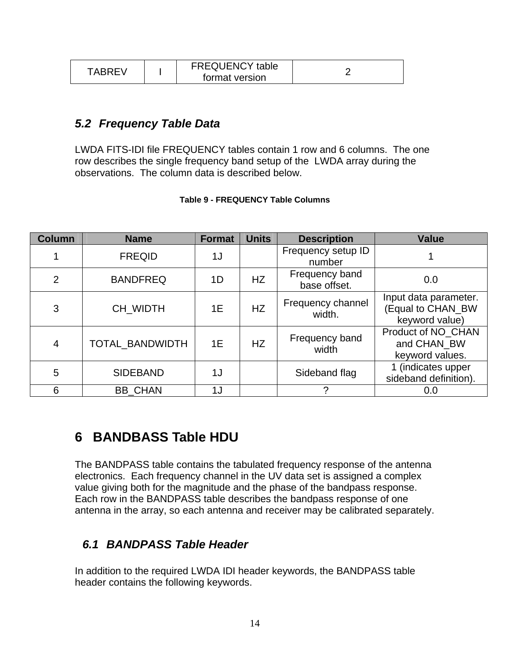<span id="page-13-0"></span>

| <b>FREQUENCY table</b><br>TARRF\<br>format version |  |
|----------------------------------------------------|--|
|----------------------------------------------------|--|

### *5.2 Frequency Table Data*

LWDA FITS-IDI file FREQUENCY tables contain 1 row and 6 columns. The one row describes the single frequency band setup of the LWDA array during the observations. The column data is described below.

| <b>Table 9 - FREQUENCY Table Columns</b> |  |
|------------------------------------------|--|
|------------------------------------------|--|

| <b>Column</b>  | <b>Name</b>            | <b>Format</b> | <b>Units</b> | <b>Description</b>             | <b>Value</b>                                                 |
|----------------|------------------------|---------------|--------------|--------------------------------|--------------------------------------------------------------|
|                | <b>FREQID</b>          | 1J            |              | Frequency setup ID<br>number   |                                                              |
| $\overline{2}$ | <b>BANDFREQ</b>        | 1D            | HZ           | Frequency band<br>base offset. | 0.0                                                          |
| 3              | CH_WIDTH               | 1E            | HZ           | Frequency channel<br>width.    | Input data parameter.<br>(Equal to CHAN_BW<br>keyword value) |
| 4              | <b>TOTAL BANDWIDTH</b> | 1E            | HZ           | Frequency band<br>width        | Product of NO CHAN<br>and CHAN BW<br>keyword values.         |
| 5              | <b>SIDEBAND</b>        | 1J            |              | Sideband flag                  | 1 (indicates upper<br>sideband definition).                  |
| 6              | <b>BB CHAN</b>         | 1J            |              | ∩                              | 0.0                                                          |

## **6 BANDBASS Table HDU**

The BANDPASS table contains the tabulated frequency response of the antenna electronics. Each frequency channel in the UV data set is assigned a complex value giving both for the magnitude and the phase of the bandpass response. Each row in the BANDPASS table describes the bandpass response of one antenna in the array, so each antenna and receiver may be calibrated separately.

### *6.1 BANDPASS Table Header*

In addition to the required LWDA IDI header keywords, the BANDPASS table header contains the following keywords.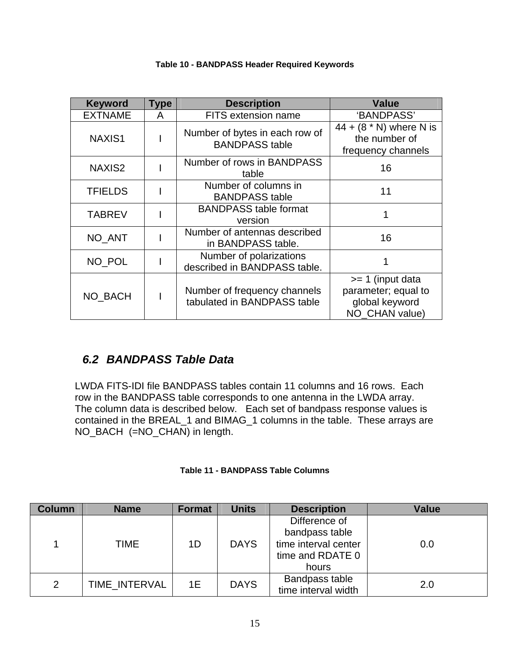<span id="page-14-0"></span>

| <b>Keyword</b>     | <b>Type</b>                                                 | <b>Description</b>                                      | <b>Value</b>                                                                  |
|--------------------|-------------------------------------------------------------|---------------------------------------------------------|-------------------------------------------------------------------------------|
| <b>EXTNAME</b>     | A                                                           | <b>FITS extension name</b>                              | 'BANDPASS'                                                                    |
| NAXIS1             |                                                             | Number of bytes in each row of<br><b>BANDPASS table</b> | $44 + (8 * N)$ where N is<br>the number of<br>frequency channels              |
| NAXIS <sub>2</sub> |                                                             | Number of rows in BANDPASS<br>table                     | 16                                                                            |
| <b>TFIELDS</b>     | Number of columns in<br><b>BANDPASS table</b>               |                                                         | 11                                                                            |
| <b>TABREV</b>      |                                                             | <b>BANDPASS table format</b><br>version                 |                                                                               |
| NO_ANT             |                                                             | Number of antennas described<br>in BANDPASS table.      | 16                                                                            |
| NO_POL             | Number of polarizations<br>described in BANDPASS table.     |                                                         |                                                                               |
| NO BACH            | Number of frequency channels<br>tabulated in BANDPASS table |                                                         | $>= 1$ (input data<br>parameter; equal to<br>global keyword<br>NO CHAN value) |

#### **Table 10 - BANDPASS Header Required Keywords**

### *6.2 BANDPASS Table Data*

LWDA FITS-IDI file BANDPASS tables contain 11 columns and 16 rows. Each row in the BANDPASS table corresponds to one antenna in the LWDA array. The column data is described below. Each set of bandpass response values is contained in the BREAL\_1 and BIMAG\_1 columns in the table. These arrays are NO\_BACH (=NO\_CHAN) in length.

|  |  | Table 11 - BANDPASS Table Columns |  |  |
|--|--|-----------------------------------|--|--|
|--|--|-----------------------------------|--|--|

| <b>Column</b> | <b>Name</b>   | <b>Format</b> | <b>Units</b> | <b>Description</b>                                                                   | <b>Value</b> |
|---------------|---------------|---------------|--------------|--------------------------------------------------------------------------------------|--------------|
|               | TIME          | 1D            | <b>DAYS</b>  | Difference of<br>bandpass table<br>time interval center<br>time and RDATE 0<br>hours | 0.0          |
| 2             | TIME INTERVAL | 1E            | <b>DAYS</b>  | Bandpass table<br>time interval width                                                | 2.0          |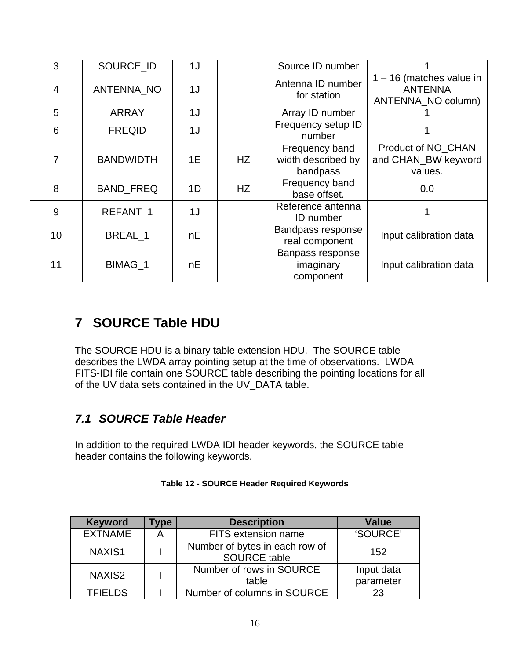<span id="page-15-0"></span>

| 3  | SOURCE_ID        | 1J             |           | Source ID number                                 |                                                                    |
|----|------------------|----------------|-----------|--------------------------------------------------|--------------------------------------------------------------------|
| 4  | ANTENNA_NO       | 1J             |           | Antenna ID number<br>for station                 | $1 - 16$ (matches value in<br><b>ANTENNA</b><br>ANTENNA_NO column) |
| 5  | <b>ARRAY</b>     | 1J             |           | Array ID number                                  |                                                                    |
| 6  | <b>FREQID</b>    | 1J             |           | Frequency setup ID<br>number                     |                                                                    |
| 7  | <b>BANDWIDTH</b> | 1E             | <b>HZ</b> | Frequency band<br>width described by<br>bandpass | Product of NO_CHAN<br>and CHAN_BW keyword<br>values.               |
| 8  | <b>BAND FREQ</b> | 1 <sub>D</sub> | <b>HZ</b> | Frequency band<br>base offset.                   | 0.0                                                                |
| 9  | <b>REFANT 1</b>  | 1J             |           | Reference antenna<br><b>ID</b> number            |                                                                    |
| 10 | BREAL 1          | nE             |           | Bandpass response<br>real component              | Input calibration data                                             |
| 11 | BIMAG_1          | nE             |           | Banpass response<br>imaginary<br>component       | Input calibration data                                             |

## **7 SOURCE Table HDU**

The SOURCE HDU is a binary table extension HDU. The SOURCE table describes the LWDA array pointing setup at the time of observations. LWDA FITS-IDI file contain one SOURCE table describing the pointing locations for all of the UV data sets contained in the UV\_DATA table.

### *7.1 SOURCE Table Header*

In addition to the required LWDA IDI header keywords, the SOURCE table header contains the following keywords.

| <b>Keyword</b> | Type                        | <b>Description</b>                                    | <b>Value</b>            |
|----------------|-----------------------------|-------------------------------------------------------|-------------------------|
| <b>EXTNAME</b> |                             | FITS extension name                                   | 'SOURCE'                |
| NAXIS1         |                             | Number of bytes in each row of<br><b>SOURCE table</b> | 152                     |
| NAXIS2         |                             | Number of rows in SOURCE<br>table                     | Input data<br>parameter |
| <b>TFIELDS</b> | Number of columns in SOURCE |                                                       | 23                      |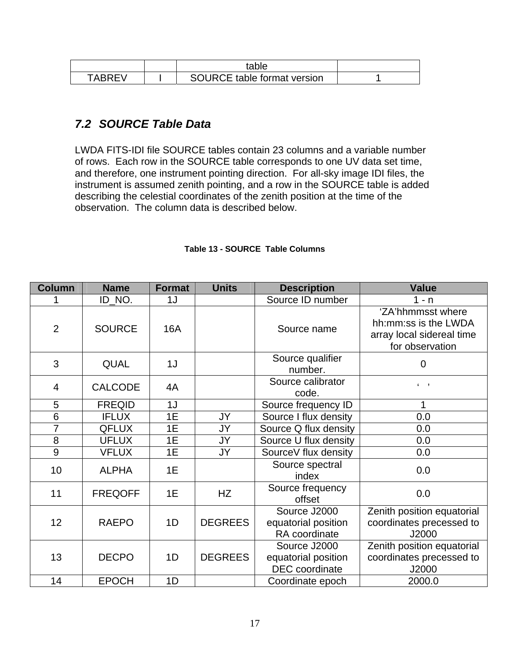<span id="page-16-0"></span>

|        | table                              |  |
|--------|------------------------------------|--|
| TARRF\ | <b>SOURCE table format version</b> |  |

### *7.2 SOURCE Table Data*

LWDA FITS-IDI file SOURCE tables contain 23 columns and a variable number of rows. Each row in the SOURCE table corresponds to one UV data set time, and therefore, one instrument pointing direction. For all-sky image IDI files, the instrument is assumed zenith pointing, and a row in the SOURCE table is added describing the celestial coordinates of the zenith position at the time of the observation. The column data is described below.

| <b>Column</b>  | <b>Name</b>    | <b>Format</b> | <b>Units</b>   | <b>Description</b>                                    | <b>Value</b>                                                                              |
|----------------|----------------|---------------|----------------|-------------------------------------------------------|-------------------------------------------------------------------------------------------|
|                | ID_NO.         | 1J            |                | Source ID number                                      | $1 - n$                                                                                   |
| $\overline{2}$ | <b>SOURCE</b>  | 16A           | Source name    |                                                       | 'ZA'hhmmsst where<br>hh:mm:ss is the LWDA<br>array local sidereal time<br>for observation |
| 3              | <b>QUAL</b>    | 1J            |                | Source qualifier<br>number.                           | $\overline{0}$                                                                            |
| 4              | <b>CALCODE</b> | 4A            |                | Source calibrator<br>code.                            | $\sqrt{ }$                                                                                |
| 5              | <b>FREQID</b>  | 1J            |                | Source frequency ID                                   | 1                                                                                         |
| 6              | <b>IFLUX</b>   | 1E            | JY             | Source I flux density                                 | 0.0                                                                                       |
| 7              | <b>QFLUX</b>   | 1E            | JY             | Source Q flux density                                 | 0.0                                                                                       |
| 8              | <b>UFLUX</b>   | 1E            | JY             | Source U flux density                                 | 0.0                                                                                       |
| $\overline{9}$ | <b>VFLUX</b>   | 1E            | JY             | SourceV flux density                                  | 0.0                                                                                       |
| 10             | <b>ALPHA</b>   | 1E            |                | Source spectral<br>index                              | 0.0                                                                                       |
| 11             | <b>FREQOFF</b> | 1E            | HZ             | Source frequency<br>offset                            | 0.0                                                                                       |
| 12             | <b>RAEPO</b>   | 1D            | <b>DEGREES</b> | Source J2000<br>equatorial position<br>RA coordinate  | Zenith position equatorial<br>coordinates precessed to<br>J2000                           |
| 13             | <b>DECPO</b>   | 1D            | <b>DEGREES</b> | Source J2000<br>equatorial position<br>DEC coordinate | Zenith position equatorial<br>coordinates precessed to<br>J2000                           |
| 14             | <b>EPOCH</b>   | 1D            |                | Coordinate epoch                                      | 2000.0                                                                                    |

#### **Table 13 - SOURCE Table Columns**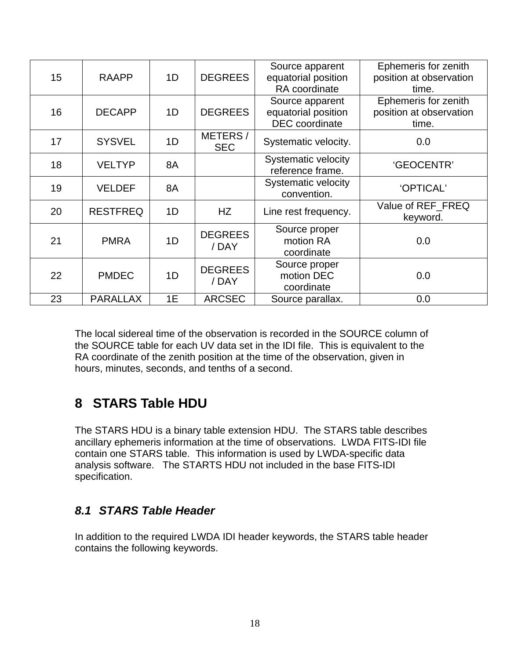<span id="page-17-0"></span>

| 15 | <b>RAAPP</b>    | 1 <sub>D</sub> | Source apparent<br><b>DEGREES</b><br>equatorial position<br>RA coordinate |                                                                 | Ephemeris for zenith<br>position at observation<br>time. |
|----|-----------------|----------------|---------------------------------------------------------------------------|-----------------------------------------------------------------|----------------------------------------------------------|
| 16 | <b>DECAPP</b>   | 1 <sub>D</sub> | <b>DEGREES</b>                                                            | Source apparent<br>equatorial position<br><b>DEC</b> coordinate | Ephemeris for zenith<br>position at observation<br>time. |
| 17 | <b>SYSVEL</b>   | 1 <sub>D</sub> | METERS/<br><b>SEC</b>                                                     | Systematic velocity.                                            | 0.0                                                      |
| 18 | <b>VELTYP</b>   | 8A             |                                                                           | <b>Systematic velocity</b><br>reference frame.                  | 'GEOCENTR'                                               |
| 19 | <b>VELDEF</b>   | 8A             |                                                                           | Systematic velocity<br>convention.                              | 'OPTICAL'                                                |
| 20 | <b>RESTFREQ</b> | 1D             | <b>HZ</b>                                                                 | Line rest frequency.                                            | Value of REF_FREQ<br>keyword.                            |
| 21 | <b>PMRA</b>     | 1 <sub>D</sub> | <b>DEGREES</b><br>/ DAY                                                   | Source proper<br>motion RA<br>coordinate                        | 0.0                                                      |
| 22 | <b>PMDEC</b>    | 1D             | <b>DEGREES</b><br>/ DAY                                                   | Source proper<br>motion DEC<br>coordinate                       | 0.0                                                      |
| 23 | <b>PARALLAX</b> | 1E             | <b>ARCSEC</b>                                                             | Source parallax.                                                | 0.0                                                      |

The local sidereal time of the observation is recorded in the SOURCE column of the SOURCE table for each UV data set in the IDI file. This is equivalent to the RA coordinate of the zenith position at the time of the observation, given in hours, minutes, seconds, and tenths of a second.

## **8 STARS Table HDU**

The STARS HDU is a binary table extension HDU. The STARS table describes ancillary ephemeris information at the time of observations. LWDA FITS-IDI file contain one STARS table. This information is used by LWDA-specific data analysis software. The STARTS HDU not included in the base FITS-IDI specification.

### *8.1 STARS Table Header*

In addition to the required LWDA IDI header keywords, the STARS table header contains the following keywords.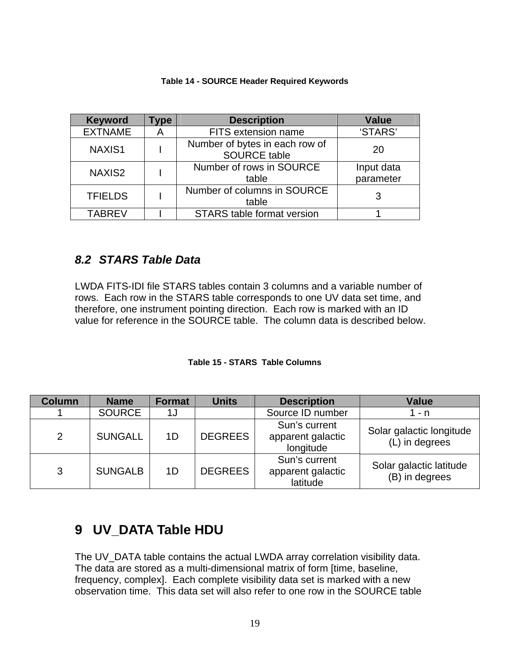<span id="page-18-0"></span>

| <b>Keyword</b> | Type | <b>Description</b>                                    | <b>Value</b>            |
|----------------|------|-------------------------------------------------------|-------------------------|
| <b>EXTNAME</b> | A    | FITS extension name                                   | 'STARS'                 |
| NAXIS1         |      | Number of bytes in each row of<br><b>SOURCE table</b> | 20                      |
| NAXIS2         |      | Number of rows in SOURCE<br>table                     | Input data<br>parameter |
| <b>TFIELDS</b> |      | Number of columns in SOURCE<br>table                  |                         |
| <b>TABREV</b>  |      | <b>STARS</b> table format version                     |                         |

#### **Table 14 - SOURCE Header Required Keywords**

#### *8.2 STARS Table Data*

LWDA FITS-IDI file STARS tables contain 3 columns and a variable number of rows. Each row in the STARS table corresponds to one UV data set time, and therefore, one instrument pointing direction. Each row is marked with an ID value for reference in the SOURCE table. The column data is described below.

#### **Table 15 - STARS Table Columns**

| <b>Column</b> | <b>Name</b>    | Format | <b>Units</b><br><b>Description</b> |                                                 | <b>Value</b>                               |
|---------------|----------------|--------|------------------------------------|-------------------------------------------------|--------------------------------------------|
|               | <b>SOURCE</b>  | 1J     |                                    | Source ID number                                | 1 - n                                      |
| 2             | <b>SUNGALL</b> | 1D     | <b>DEGREES</b>                     | Sun's current<br>apparent galactic<br>longitude | Solar galactic longitude<br>(L) in degrees |
| 3             | <b>SUNGALB</b> | 1D     | <b>DEGREES</b>                     | Sun's current<br>apparent galactic<br>latitude  | Solar galactic latitude<br>(B) in degrees  |

## **9 UV\_DATA Table HDU**

The UV\_DATA table contains the actual LWDA array correlation visibility data. The data are stored as a multi-dimensional matrix of form [time, baseline, frequency, complex]. Each complete visibility data set is marked with a new observation time. This data set will also refer to one row in the SOURCE table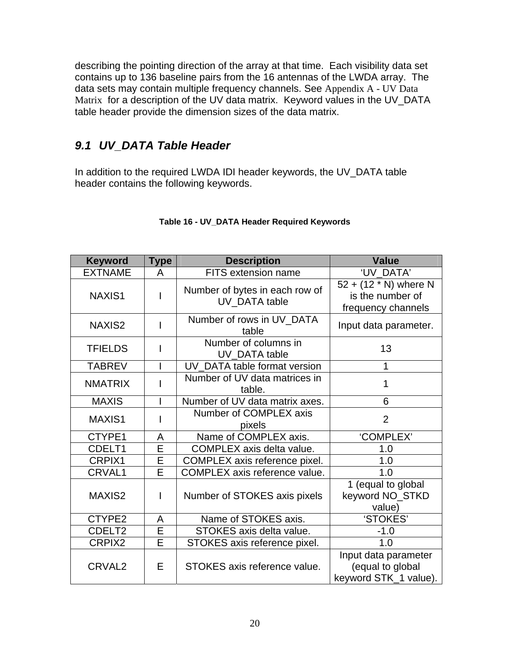<span id="page-19-0"></span>describing the pointing direction of the array at that time. Each visibility data set contains up to 136 baseline pairs from the 16 antennas of the LWDA array. The data sets may contain multiple frequency channels. See [Appendix A - UV Data](#page-23-1)  [Matrix](#page-23-1) for a description of the UV data matrix. Keyword values in the UV\_DATA table header provide the dimension sizes of the data matrix.

### *9.1 UV\_DATA Table Header*

In addition to the required LWDA IDI header keywords, the UV\_DATA table header contains the following keywords.

| <b>Keyword</b>     | <b>Type</b> | <b>Description</b>                              | <b>Value</b>                                                      |
|--------------------|-------------|-------------------------------------------------|-------------------------------------------------------------------|
| <b>EXTNAME</b>     | A           | <b>FITS extension name</b>                      | 'UV DATA'                                                         |
| NAXIS1             |             | Number of bytes in each row of<br>UV DATA table | $52 + (12 * N)$ where N<br>is the number of<br>frequency channels |
| NAXIS2             |             | Number of rows in UV_DATA<br>table              | Input data parameter.                                             |
| <b>TFIELDS</b>     |             | Number of columns in<br>UV_DATA table           | 13                                                                |
| <b>TABREV</b>      |             | UV_DATA table format version                    | 1                                                                 |
| <b>NMATRIX</b>     |             | Number of UV data matrices in<br>table.         | 1                                                                 |
| <b>MAXIS</b>       |             | Number of UV data matrix axes.                  | 6                                                                 |
| MAXIS1             |             | Number of COMPLEX axis<br>pixels                | $\overline{2}$                                                    |
| CTYPE1             | A           | Name of COMPLEX axis.                           | 'COMPLEX'                                                         |
| CDELT1             | Ē           | COMPLEX axis delta value.                       | 1.0                                                               |
| CRPIX1             | E           | COMPLEX axis reference pixel.                   | 1.0                                                               |
| CRVAL1             | E           | <b>COMPLEX axis reference value.</b>            | 1.0                                                               |
| MAXIS2             | I           | Number of STOKES axis pixels                    | 1 (equal to global<br>keyword NO_STKD<br>value)                   |
| CTYPE2             | A           | Name of STOKES axis.                            | 'STOKES'                                                          |
| CDELT2             | E           | STOKES axis delta value.                        | $-1.0$                                                            |
| CRPIX2             | E           | STOKES axis reference pixel.                    | 1.0                                                               |
| CRVAL <sub>2</sub> | Е           | STOKES axis reference value.                    | Input data parameter<br>(equal to global<br>keyword STK_1 value). |

#### **Table 16 - UV\_DATA Header Required Keywords**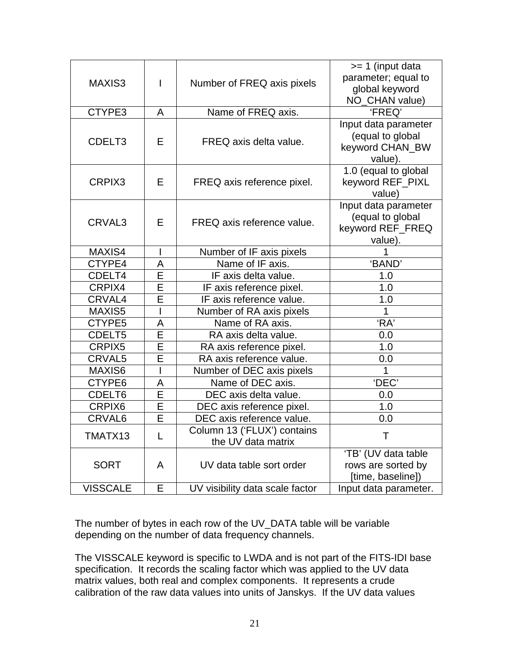| MAXIS3             | $\overline{1}$           | Number of FREQ axis pixels                        | >= 1 (input data<br>parameter; equal to<br>global keyword<br>NO_CHAN value) |
|--------------------|--------------------------|---------------------------------------------------|-----------------------------------------------------------------------------|
| CTYPE3             | A                        | Name of FREQ axis.                                | 'FREQ'                                                                      |
| CDELT3             | E                        | FREQ axis delta value.                            | Input data parameter<br>(equal to global<br>keyword CHAN_BW<br>value).      |
| CRPIX3             | Е                        | FREQ axis reference pixel.                        | 1.0 (equal to global<br>keyword REF_PIXL<br>value)                          |
| CRVAL <sub>3</sub> | E                        | FREQ axis reference value.                        | Input data parameter<br>(equal to global<br>keyword REF_FREQ<br>value).     |
| MAXIS4             | $\mathsf{I}$             | Number of IF axis pixels                          | 1                                                                           |
| CTYPE4             | A                        | Name of IF axis.                                  | 'BAND'                                                                      |
| CDELT4             | Е                        | IF axis delta value.                              | 1.0                                                                         |
| CRPIX4             | E                        | IF axis reference pixel.                          | 1.0                                                                         |
| CRVAL4             | Е                        | IF axis reference value.                          | 1.0                                                                         |
| MAXIS5             | I                        | Number of RA axis pixels                          | $\mathbf{1}$                                                                |
| CTYPE5             | A                        | Name of RA axis.                                  | 'RA'                                                                        |
| CDELT5             | E                        | RA axis delta value.                              | 0.0                                                                         |
| CRPIX5             | E                        | RA axis reference pixel.                          | 1.0                                                                         |
| CRVAL5             | E                        | RA axis reference value.                          | 0.0                                                                         |
| MAXIS6             | $\overline{\phantom{a}}$ | Number of DEC axis pixels                         | $\mathbf{1}$                                                                |
| CTYPE6             | A                        | Name of DEC axis.                                 | 'DEC'                                                                       |
| CDELT6             | E                        | DEC axis delta value.                             | 0.0                                                                         |
| CRPIX6             | E                        | DEC axis reference pixel.                         | 1.0                                                                         |
| <b>CRVAL6</b>      | E                        | DEC axis reference value.                         | 0.0                                                                         |
| TMATX13            | L                        | Column 13 ('FLUX') contains<br>the UV data matrix | T                                                                           |
| <b>SORT</b>        | A                        | UV data table sort order                          | 'TB' (UV data table<br>rows are sorted by<br>[time, baseline])              |
| <b>VISSCALE</b>    | E                        | UV visibility data scale factor                   | Input data parameter.                                                       |

The number of bytes in each row of the UV\_DATA table will be variable depending on the number of data frequency channels.

The VISSCALE keyword is specific to LWDA and is not part of the FITS-IDI base specification. It records the scaling factor which was applied to the UV data matrix values, both real and complex components. It represents a crude calibration of the raw data values into units of Janskys. If the UV data values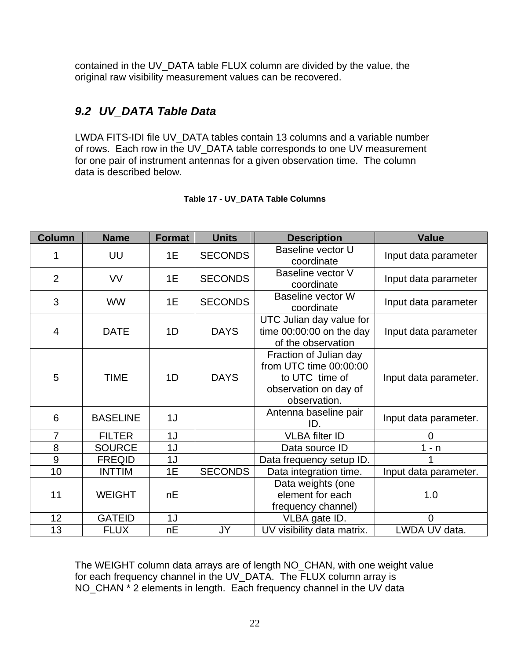<span id="page-21-0"></span>contained in the UV\_DATA table FLUX column are divided by the value, the original raw visibility measurement values can be recovered.

### *9.2 UV\_DATA Table Data*

LWDA FITS-IDI file UV\_DATA tables contain 13 columns and a variable number of rows. Each row in the UV\_DATA table corresponds to one UV measurement for one pair of instrument antennas for a given observation time. The column data is described below.

| <b>Column</b>  | <b>Name</b>     | <b>Format</b> | <b>Units</b>   | <b>Description</b>                                                                                          | <b>Value</b>          |
|----------------|-----------------|---------------|----------------|-------------------------------------------------------------------------------------------------------------|-----------------------|
| 1              | UU              | 1E            | <b>SECONDS</b> | Baseline vector U<br>coordinate                                                                             | Input data parameter  |
| $\overline{2}$ | <b>VV</b>       | 1E            | <b>SECONDS</b> | Baseline vector V<br>coordinate                                                                             | Input data parameter  |
| 3              | <b>WW</b>       | 1E            | <b>SECONDS</b> | Baseline vector W<br>coordinate                                                                             | Input data parameter  |
| 4              | <b>DATE</b>     | 1D            | <b>DAYS</b>    | UTC Julian day value for<br>time 00:00:00 on the day<br>of the observation                                  | Input data parameter  |
| 5              | <b>TIME</b>     | 1D            | <b>DAYS</b>    | Fraction of Julian day<br>from UTC time 00:00:00<br>to UTC time of<br>observation on day of<br>observation. | Input data parameter. |
| 6              | <b>BASELINE</b> | 1J            |                | Antenna baseline pair<br>ID.                                                                                | Input data parameter. |
| $\overline{7}$ | <b>FILTER</b>   | 1J            |                | <b>VLBA</b> filter ID                                                                                       | $\overline{0}$        |
| 8              | <b>SOURCE</b>   | 1J            |                | Data source ID                                                                                              | $1 - n$               |
| $\overline{9}$ | <b>FREQID</b>   | 1J            |                | Data frequency setup ID.                                                                                    | 1                     |
| 10             | <b>INTTIM</b>   | 1E            | <b>SECONDS</b> | Data integration time.                                                                                      | Input data parameter. |
| 11             | <b>WEIGHT</b>   | nE            |                | Data weights (one<br>element for each<br>frequency channel)                                                 | 1.0                   |
| 12             | <b>GATEID</b>   | 1J            |                | VLBA gate ID.                                                                                               | $\overline{0}$        |
| 13             | <b>FLUX</b>     | nE            | JY             | UV visibility data matrix.                                                                                  | LWDA UV data.         |

#### **Table 17 - UV\_DATA Table Columns**

The WEIGHT column data arrays are of length NO\_CHAN, with one weight value for each frequency channel in the UV\_DATA. The FLUX column array is NO\_CHAN \* 2 elements in length. Each frequency channel in the UV data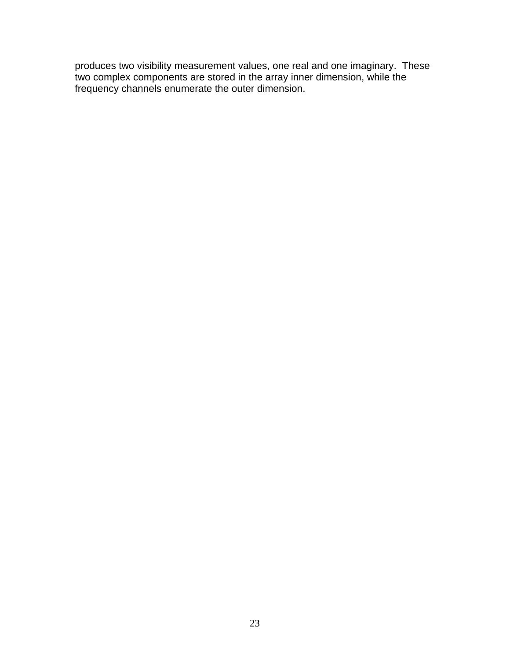produces two visibility measurement values, one real and one imaginary. These two complex components are stored in the array inner dimension, while the frequency channels enumerate the outer dimension.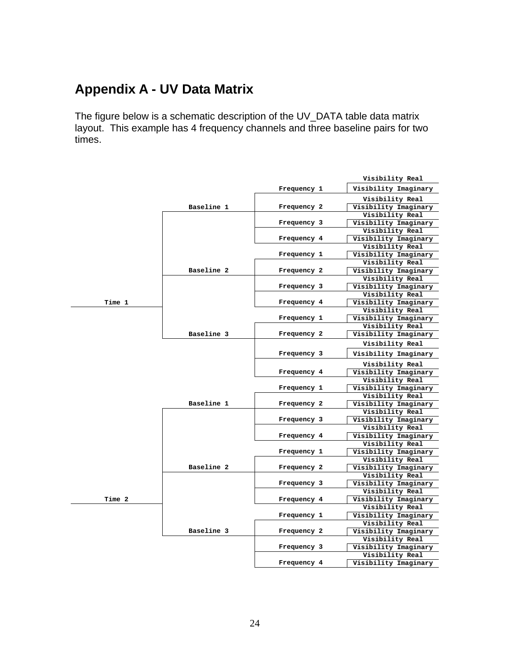## <span id="page-23-1"></span><span id="page-23-0"></span>**Appendix A - UV Data Matrix**

The figure below is a schematic description of the UV\_DATA table data matrix layout. This example has 4 frequency channels and three baseline pairs for two times.

|        |            |             | Visibility Real                         |
|--------|------------|-------------|-----------------------------------------|
|        |            | Frequency 1 | Visibility Imaginary                    |
|        |            |             | Visibility Real                         |
|        | Baseline 1 | Frequency 2 | Visibility Imaginary                    |
|        |            |             | Visibility Real                         |
|        |            | Frequency 3 | Visibility Imaginary                    |
|        |            |             | Visibility Real                         |
|        |            | Frequency 4 | Visibility Imaginary                    |
|        |            |             | Visibility Real                         |
|        |            | Frequency 1 | Visibility Imaginary                    |
|        |            |             | Visibility Real                         |
|        | Baseline 2 | Frequency 2 | Visibility Imaginary                    |
|        |            |             | Visibility Real                         |
|        |            | Frequency 3 | Visibility Imaginary                    |
|        |            |             | Visibility Real                         |
| Time 1 |            | Frequency 4 | Visibility Imaginary                    |
|        |            |             | Visibility Real                         |
|        |            | Frequency 1 | Visibility Imaginary                    |
|        |            |             | Visibility Real                         |
|        | Baseline 3 | Frequency 2 | Visibility Imaginary                    |
|        |            |             | Visibility Real                         |
|        |            | Frequency 3 | Visibility Imaginary                    |
|        |            |             | Visibility Real                         |
|        |            | Frequency 4 | Visibility Imaginary                    |
|        |            |             | Visibility Real                         |
|        |            | Frequency 1 | Visibility Imaginary                    |
|        |            |             | Visibility Real                         |
|        | Baseline 1 | Frequency 2 | Visibility Imaginary                    |
|        |            |             | Visibility Real                         |
|        |            | Frequency 3 | Visibility Imaginary                    |
|        |            |             | Visibility Real                         |
|        |            | Frequency 4 | Visibility Imaginary                    |
|        |            |             | Visibility Real                         |
|        |            | Frequency 1 | Visibility Imaginary                    |
|        |            |             | Visibility Real                         |
|        | Baseline 2 | Frequency 2 | Visibility Imaginary                    |
|        |            |             | Visibility Real                         |
|        |            | Frequency 3 | Visibility Imaginary                    |
| Time 2 |            |             | Visibility Real                         |
|        |            | Frequency 4 | Visibility Imaginary                    |
|        |            | Frequency 1 | Visibility Real                         |
|        |            |             | Visibility Imaginary<br>Visibility Real |
|        | Baseline 3 | Frequency 2 | Visibility Imaginary                    |
|        |            |             | Visibility Real                         |
|        |            | Frequency 3 | Visibility Imaginary                    |
|        |            |             | Visibility Real                         |
|        |            | Frequency 4 | Visibility Imaginary                    |
|        |            |             |                                         |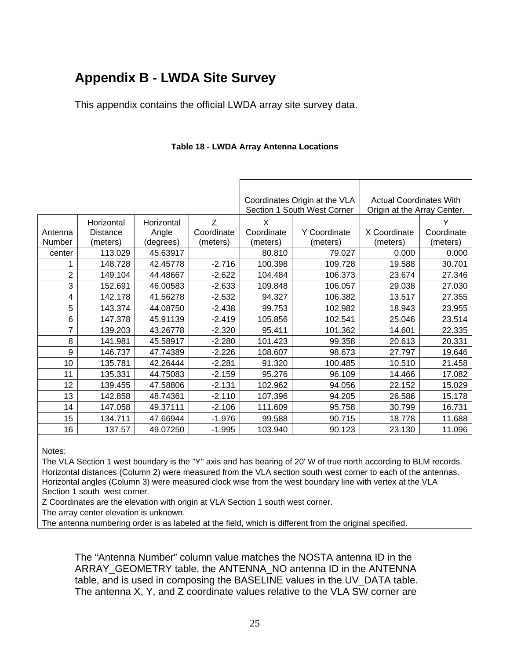## <span id="page-24-0"></span>**Appendix B - LWDA Site Survey**

This appendix contains the official LWDA array site survey data.

|                   |                                    |                                  |                             | Coordinates Origin at the VLA<br>Section 1 South West Corner |                          | <b>Actual Coordinates With</b><br>Origin at the Array Center. |                             |  |
|-------------------|------------------------------------|----------------------------------|-----------------------------|--------------------------------------------------------------|--------------------------|---------------------------------------------------------------|-----------------------------|--|
| Antenna<br>Number | Horizontal<br>Distance<br>(meters) | Horizontal<br>Angle<br>(degrees) | Z<br>Coordinate<br>(meters) | X<br>Coordinate<br>(meters)                                  | Y Coordinate<br>(meters) | X Coordinate<br>(meters)                                      | Y<br>Coordinate<br>(meters) |  |
| center            | 113.029                            | 45.63917                         |                             | 80.810                                                       | 79.027                   | 0.000                                                         | 0.000                       |  |
|                   | 148.728                            | 42.45778                         | $-2.716$                    | 100.398                                                      | 109.728                  | 19.588                                                        | 30.701                      |  |
| 2                 | 149.104                            | 44.48667                         | $-2.622$                    | 104.484                                                      | 106.373                  | 23.674                                                        | 27.346                      |  |
| 3                 | 152.691                            | 46.00583                         | $-2.633$                    | 109.848                                                      | 106.057                  | 29.038                                                        | 27.030                      |  |
| 4                 | 142.178                            | 41.56278                         | $-2.532$                    | 94.327                                                       | 106.382                  | 13.517                                                        | 27.355                      |  |
| 5                 | 143.374                            | 44.08750                         | $-2.438$                    | 99.753                                                       | 102.982                  | 18.943                                                        | 23.955                      |  |
| 6                 | 147.378                            | 45.91139                         | $-2.419$                    | 105.856                                                      | 102.541                  | 25.046                                                        | 23.514                      |  |
|                   | 139.203                            | 43.26778                         | $-2.320$                    | 95.411                                                       | 101.362                  | 14.601                                                        | 22.335                      |  |
| 8                 | 141.981                            | 45.58917                         | $-2.280$                    | 101.423                                                      | 99.358                   | 20.613                                                        | 20.331                      |  |
| 9                 | 146.737                            | 47.74389                         | $-2.226$                    | 108.607                                                      | 98.673                   | 27.797                                                        | 19.646                      |  |
| 10                | 135.781                            | 42.26444                         | $-2.281$                    | 91.320                                                       | 100.485                  | 10.510                                                        | 21.458                      |  |
| 11                | 135.331                            | 44.75083                         | $-2.159$                    | 95.276                                                       | 96.109                   | 14.466                                                        | 17.082                      |  |
| 12                | 139.455                            | 47.58806                         | $-2.131$                    | 102.962                                                      | 94.056                   | 22.152                                                        | 15.029                      |  |
| 13                | 142.858                            | 48.74361                         | $-2.110$                    | 107.396                                                      | 94.205                   | 26.586                                                        | 15.178                      |  |
| 14                | 147.058                            | 49.37111                         | $-2.106$                    | 111.609                                                      | 95.758                   | 30.799                                                        | 16.731                      |  |
| 15                | 134.711                            | 47.66944                         | $-1.976$                    | 99.588                                                       | 90.715                   | 18.778                                                        | 11.688                      |  |
| 16                | 137.57                             | 49.07250                         | $-1.995$                    | 103.940                                                      | 90.123                   | 23.130                                                        | 11.096                      |  |

#### **Table 18 - LWDA Array Antenna Locations**

Notes:

The VLA Section 1 west boundary is the "Y" axis and has bearing of 20' W of true north according to BLM records. Horizontal distances (Column 2) were measured from the VLA section south west corner to each of the antennas. Horizontal angles (Column 3) were measured clock wise from the west boundary line with vertex at the VLA Section 1 south west corner.

Z Coordinates are the elevation with origin at VLA Section 1 south west corner.

The array center elevation is unknown.

The antenna numbering order is as labeled at the field, which is different from the original specified.

The "Antenna Number" column value matches the NOSTA antenna ID in the ARRAY\_GEOMETRY table, the ANTENNA\_NO antenna ID in the ANTENNA table, and is used in composing the BASELINE values in the UV\_DATA table. The antenna X, Y, and Z coordinate values relative to the VLA SW corner are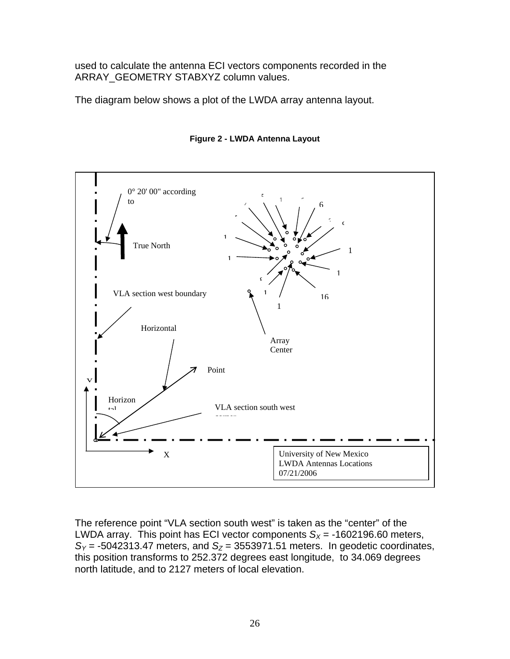used to calculate the antenna ECI vectors components recorded in the ARRAY\_GEOMETRY STABXYZ column values.

The diagram below shows a plot of the LWDA array antenna layout.



**Figure 2 - LWDA Antenna Layout** 

The reference point "VLA section south west" is taken as the "center" of the LWDA array. This point has ECI vector components  $S_X = -1602196.60$  meters,  $S_Y$  = -5042313.47 meters, and  $S_Z$  = 3553971.51 meters. In geodetic coordinates, this position transforms to 252.372 degrees east longitude, to 34.069 degrees north latitude, and to 2127 meters of local elevation.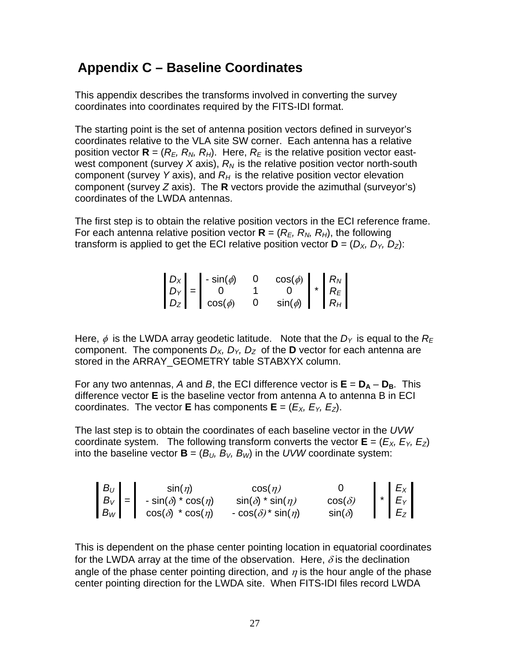## <span id="page-26-0"></span>**Appendix C – Baseline Coordinates**

This appendix describes the transforms involved in converting the survey coordinates into coordinates required by the FITS-IDI format.

The starting point is the set of antenna position vectors defined in surveyor's coordinates relative to the VLA site SW corner. Each antenna has a relative position vector  $\mathbf{R} = (R_F, R_N, R_H)$ . Here,  $R_F$  is the relative position vector eastwest component (survey  $X$  axis),  $R_N$  is the relative position vector north-south component (survey *Y* axis), and *RH* is the relative position vector elevation component (survey *Z* axis). The **R** vectors provide the azimuthal (surveyor's) coordinates of the LWDA antennas.

The first step is to obtain the relative position vectors in the ECI reference frame. For each antenna relative position vector  $\mathbf{R} = (R_E, R_N, R_H)$ , the following transform is applied to get the ECI relative position vector  $\mathbf{D} = (D_x, D_y, D_z)$ :

| $D_X$                                        | $\vert$ - sin( $\phi$ ) | $\begin{array}{c c}\n\cos(\phi) & \ast & R_N \\ 0 & \sin(\phi) & R_E\n\end{array}$ |  |
|----------------------------------------------|-------------------------|------------------------------------------------------------------------------------|--|
| $\begin{bmatrix} D_Y \\ D_Z \end{bmatrix}$ = |                         |                                                                                    |  |
|                                              | $\cos(\phi)$            |                                                                                    |  |

Here,  $\phi$  is the LWDA array geodetic latitude. Note that the  $D_Y$  is equal to the  $R_E$ component. The components  $D_X$ ,  $D_Y$ ,  $D_Z$  of the **D** vector for each antenna are stored in the ARRAY\_GEOMETRY table STABXYX column.

For any two antennas, A and B, the ECI difference vector is  $E = D_A - D_B$ . This difference vector **E** is the baseline vector from antenna A to antenna B in ECI coordinates. The vector **E** has components  $E = (E_X, E_Y, E_Z)$ .

The last step is to obtain the coordinates of each baseline vector in the *UVW* coordinate system. The following transform converts the vector  $\mathbf{E} = (E_X, E_Y, E_Z)$ into the baseline vector  $\mathbf{B} = (B_U, B_V, B_W)$  in the *UVW* coordinate system:

|  | $\begin{vmatrix} B_U \\ B_V \end{vmatrix} = \begin{vmatrix} \sin(\eta) \\ -\sin(\delta) * \cos(\eta) \end{vmatrix}$ | $\cos(\eta)$                   |               | $\begin{array}{c} \n\ast \\ E_Y \\ E_Z\n\end{array}$ |
|--|---------------------------------------------------------------------------------------------------------------------|--------------------------------|---------------|------------------------------------------------------|
|  |                                                                                                                     | $sin(\delta) * sin(\eta)$      | $cos(\delta)$ |                                                      |
|  | $B_W$ $\qquad \cos(\delta) * \cos(\eta)$                                                                            | $-\cos(\delta)$ * sin $(\eta)$ | $sin(\delta)$ |                                                      |

This is dependent on the phase center pointing location in equatorial coordinates for the LWDA array at the time of the observation. Here,  $\delta$  is the declination angle of the phase center pointing direction, and  $\eta$  is the hour angle of the phase center pointing direction for the LWDA site. When FITS-IDI files record LWDA